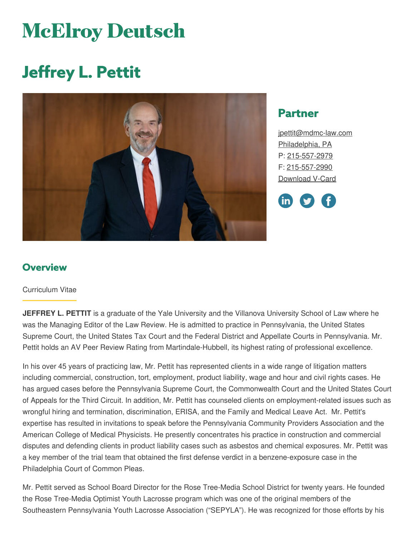# **McElroy Deutsch**

# **Jeffrey L. Pettit**



## **Partner**

[jpettit@mdmc-law.com](mailto:jpettit@mdmc-law.com) [Philadelphia,](https://www.mdmc-law.com/offices/philadelphia) PA P: [215-557-2979](tel:215-557-2979) F: [215-557-2990](tel:215-557-2990) [Download](https://www.mdmc-law.com/node/293/vcard) V-Card

in

#### **Overview**

#### Curriculum Vitae

**JEFFREY L. PETTIT** is a graduate of the Yale University and the Villanova University School of Law where he was the Managing Editor of the Law Review. He is admitted to practice in Pennsylvania, the United States Supreme Court, the United States Tax Court and the Federal District and Appellate Courts in Pennsylvania. Mr. Pettit holds an AV Peer Review Rating from Martindale-Hubbell, its highest rating of professional excellence.

In his over 45 years of practicing law, Mr. Pettit has represented clients in a wide range of litigation matters including commercial, construction, tort, employment, product liability, wage and hour and civil rights cases. He has argued cases before the Pennsylvania Supreme Court, the Commonwealth Court and the United States Court of Appeals for the Third Circuit. In addition, Mr. Pettit has counseled clients on employment-related issues such as wrongful hiring and termination, discrimination, ERISA, and the Family and Medical Leave Act. Mr. Pettit's expertise has resulted in invitations to speak before the Pennsylvania Community Providers Association and the American College of Medical Physicists. He presently concentrates his practice in construction and commercial disputes and defending clients in product liability cases such as asbestos and chemical exposures. Mr. Pettit was a key member of the trial team that obtained the first defense verdict in a benzene-exposure case in the Philadelphia Court of Common Pleas.

Mr. Pettit served as School Board Director for the Rose Tree-Media School District for twenty years. He founded the Rose Tree-Media Optimist Youth Lacrosse program which was one of the original members of the Southeastern Pennsylvania Youth Lacrosse Association ("SEPYLA"). He was recognized for those efforts by his